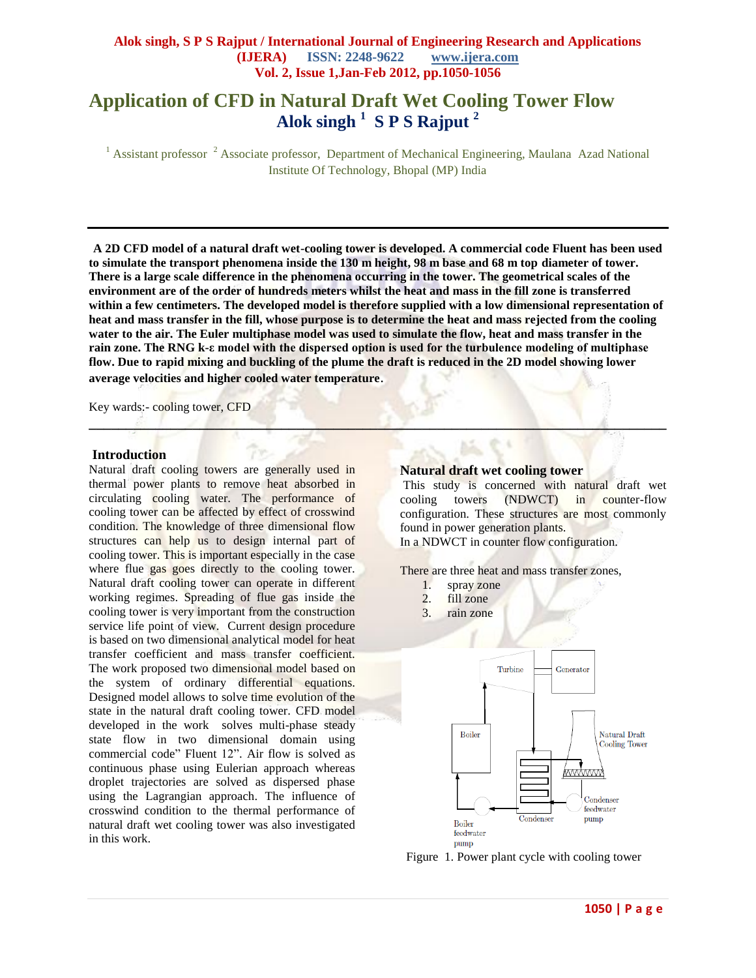# **Application of CFD in Natural Draft Wet Cooling Tower Flow Alok singh <sup>1</sup> S P S Rajput <sup>2</sup>**

<sup>1</sup> Assistant professor <sup>2</sup> Associate professor, Department of Mechanical Engineering, Maulana Azad National Institute Of Technology, Bhopal (MP) India

**A 2D CFD model of a natural draft wet-cooling tower is developed. A commercial code Fluent has been used to simulate the transport phenomena inside the 130 m height, 98 m base and 68 m top diameter of tower. There is a large scale difference in the phenomena occurring in the tower. The geometrical scales of the environment are of the order of hundreds meters whilst the heat and mass in the fill zone is transferred within a few centimeters. The developed model is therefore supplied with a low dimensional representation of heat and mass transfer in the fill, whose purpose is to determine the heat and mass rejected from the cooling water to the air. The Euler multiphase model was used to simulate the flow, heat and mass transfer in the rain zone. The RNG k-ε model with the dispersed option is used for the turbulence modeling of multiphase flow. Due to rapid mixing and buckling of the plume the draft is reduced in the 2D model showing lower average velocities and higher cooled water temperature**.

**\_\_\_\_\_\_\_\_\_\_\_\_\_\_\_\_\_\_\_\_\_\_\_\_\_\_\_\_\_\_\_\_\_\_\_\_\_\_\_\_\_\_\_\_\_\_\_\_\_\_\_\_\_\_\_\_\_\_\_\_\_\_\_\_\_\_\_\_\_\_\_\_\_\_\_\_\_\_**

Key wards:- cooling tower, CFD

#### **Introduction**

Natural draft cooling towers are generally used in thermal power plants to remove heat absorbed in circulating cooling water. The performance of cooling tower can be affected by effect of crosswind condition. The knowledge of three dimensional flow structures can help us to design internal part of cooling tower. This is important especially in the case where flue gas goes directly to the cooling tower. Natural draft cooling tower can operate in different working regimes. Spreading of flue gas inside the cooling tower is very important from the construction service life point of view. Current design procedure is based on two dimensional analytical model for heat transfer coefficient and mass transfer coefficient. The work proposed two dimensional model based on the system of ordinary differential equations. Designed model allows to solve time evolution of the state in the natural draft cooling tower. CFD model developed in the work solves multi-phase steady state flow in two dimensional domain using commercial code" Fluent 12". Air flow is solved as continuous phase using Eulerian approach whereas droplet trajectories are solved as dispersed phase using the Lagrangian approach. The influence of crosswind condition to the thermal performance of natural draft wet cooling tower was also investigated in this work.

#### **Natural draft wet cooling tower**

This study is concerned with natural draft wet cooling towers (NDWCT) in counter-flow configuration. These structures are most commonly found in power generation plants.

In a NDWCT in counter flow configuration.

There are three heat and mass transfer zones,

- 1. spray zone
- 2. fill zone
- 3. rain zone



Figure 1. Power plant cycle with cooling tower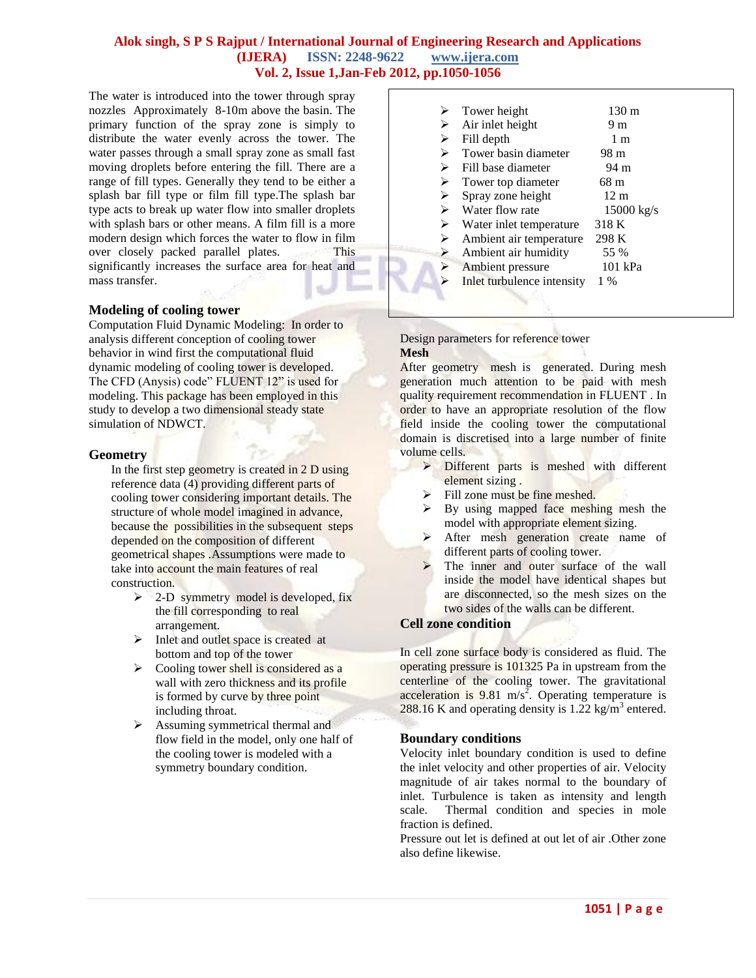The water is introduced into the tower through spray nozzles Approximately 8-10m above the basin. The primary function of the spray zone is simply to distribute the water evenly across the tower. The water passes through a small spray zone as small fast moving droplets before entering the fill. There are a range of fill types. Generally they tend to be either a splash bar fill type or film fill type.The splash bar type acts to break up water flow into smaller droplets with splash bars or other means. A film fill is a more modern design which forces the water to flow in film over closely packed parallel plates. This significantly increases the surface area for heat and mass transfer.

## **Modeling of cooling tower**

Computation Fluid Dynamic Modeling: In order to analysis different conception of cooling tower behavior in wind first the computational fluid dynamic modeling of cooling tower is developed. The CFD (Anysis) code" FLUENT 12" is used for modeling. This package has been employed in this study to develop a two dimensional steady state simulation of NDWCT.

## **Geometry**

In the first step geometry is created in 2 D using reference data (4) providing different parts of cooling tower considering important details. The structure of whole model imagined in advance, because the possibilities in the subsequent steps depended on the composition of different geometrical shapes .Assumptions were made to take into account the main features of real construction.

- $\geq$  2-D symmetry model is developed, fix the fill corresponding to real arrangement.
- $\triangleright$  Inlet and outlet space is created at bottom and top of the tower
- $\triangleright$  Cooling tower shell is considered as a wall with zero thickness and its profile is formed by curve by three point including throat.
- $\triangleright$  Assuming symmetrical thermal and flow field in the model, only one half of the cooling tower is modeled with a symmetry boundary condition.

|   | Tower height               | 130 m        |  |
|---|----------------------------|--------------|--|
| ⋗ | Air inlet height           | 9 m          |  |
| ⋗ | Fill depth                 | 1 m          |  |
| ⋗ | Tower basin diameter       | 98 m         |  |
| ⋗ | Fill base diameter         | 94 m         |  |
| ⋗ | Tower top diameter         | 68 m         |  |
| ➤ | Spray zone height          | 12 m         |  |
| ≻ | Water flow rate            | $15000$ kg/s |  |
| ≻ | Water inlet temperature    | 318 K        |  |
| ⋗ | Ambient air temperature    | 298 K        |  |
| ➤ | Ambient air humidity       | 55 %         |  |
| ⋗ | Ambient pressure           | 101 kPa      |  |
|   | Inlet turbulence intensity | $1\%$        |  |
|   |                            |              |  |

#### Design parameters for reference tower **Mesh**

After geometry mesh is generated. During mesh generation much attention to be paid with mesh quality requirement recommendation in FLUENT . In order to have an appropriate resolution of the flow field inside the cooling tower the computational domain is discretised into a large number of finite volume cells.

- Different parts is meshed with different element sizing .
- Fill zone must be fine meshed.
- By using mapped face meshing mesh the model with appropriate element sizing.
- After mesh generation create name of different parts of cooling tower.
- The inner and outer surface of the wall inside the model have identical shapes but are disconnected, so the mesh sizes on the two sides of the walls can be different.

## **Cell zone condition**

In cell zone surface body is considered as fluid. The operating pressure is 101325 Pa in upstream from the centerline of the cooling tower. The gravitational acceleration is  $9.81 \text{ m/s}^2$ . Operating temperature is 288.16 K and operating density is  $1.22 \text{ kg/m}^3$  entered.

## **Boundary conditions**

Velocity inlet boundary condition is used to define the inlet velocity and other properties of air. Velocity magnitude of air takes normal to the boundary of inlet. Turbulence is taken as intensity and length scale. Thermal condition and species in mole fraction is defined.

Pressure out let is defined at out let of air .Other zone also define likewise.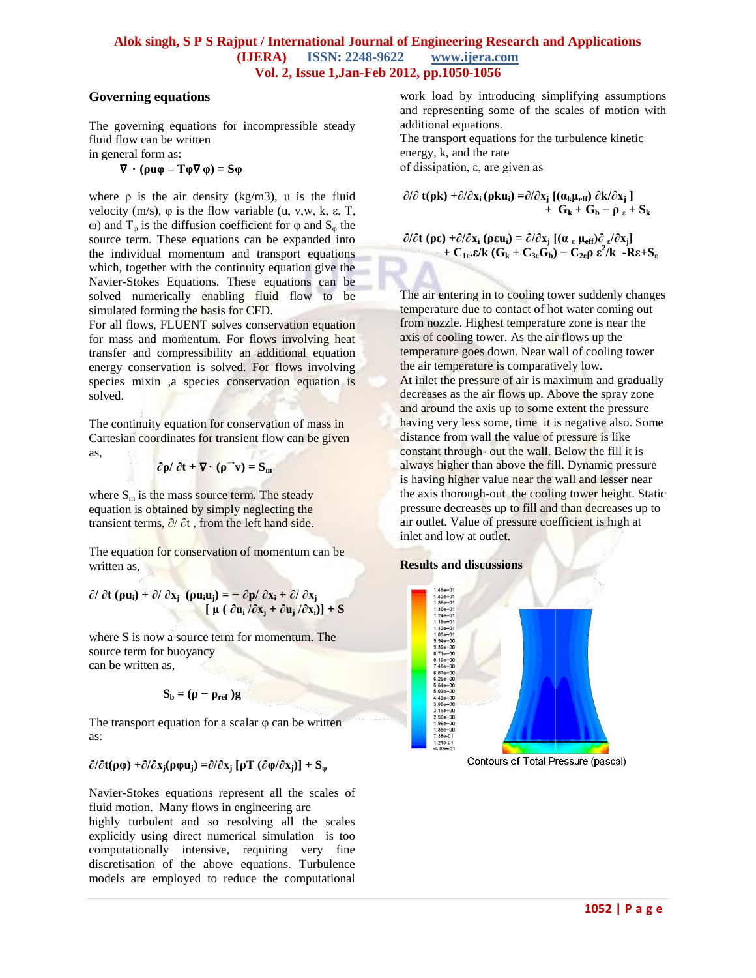## **Governing equations**

The governing equations for incompressible steady fluid flow can be written

in general form as:

$$
\nabla \cdot (\rho u \varphi - T \varphi \nabla \varphi) = S \varphi
$$

where  $\rho$  is the air density (kg/m3), u is the fluid velocity (m/s),  $\varphi$  is the flow variable (u, v,w, k,  $\varepsilon$ , T, ω) and  $T_{\varphi}$  is the diffusion coefficient for  $\varphi$  and  $S_{\varphi}$  the source term. These equations can be expanded into the individual momentum and transport equations which, together with the continuity equation give the Navier-Stokes Equations. These equations can be solved numerically enabling fluid flow to be simulated forming the basis for CFD.

For all flows, FLUENT solves conservation equation for mass and momentum. For flows involving heat transfer and compressibility an additional equation energy conservation is solved. For flows involving species mixin ,a species conservation equation is solved.

The continuity equation for conservation of mass in Cartesian coordinates for transient flow can be given as,  $77$ 

$$
\frac{\partial \rho}{\partial t} + \nabla \cdot (\rho^{\rightarrow} v) = S_m
$$

where  $S_m$  is the mass source term. The steady equation is obtained by simply neglecting the transient terms,  $\partial/\partial t$ , from the left hand side.

The equation for conservation of momentum can be written as,

**∂/ ∂t (ρui) + ∂/ ∂x<sup>j</sup> (ρuiuj) = − ∂p/ ∂x<sup>i</sup> + ∂/ ∂x<sup>j</sup>**  $\left[ \mu \left( \frac{\partial u_i}{\partial x_j} + \frac{\partial u_j}{\partial x_i} \right) \right] + S$ 

where S is now a source term for momentum. The source term for buoyancy can be written as,

$$
\mathbf{S_b} = (\rho - \rho_{\text{ref}}) \mathbf{g}
$$

The transport equation for a scalar  $\varphi$  can be written as:

# **∂/∂t(ρφ) +∂/∂xj(ρφuj) =∂/∂x<sup>j</sup> [ρƬ (∂φ/∂xj)] + S<sup>φ</sup>**

Navier-Stokes equations represent all the scales of fluid motion. Many flows in engineering are

highly turbulent and so resolving all the scales explicitly using direct numerical simulation is too computationally intensive, requiring very fine discretisation of the above equations. Turbulence models are employed to reduce the computational work load by introducing simplifying assumptions and representing some of the scales of motion with additional equations.

The transport equations for the turbulence kinetic energy, k, and the rate

of dissipation, ε, are given as

**∂/∂ t(ρk) +∂/∂x<sup>i</sup> (ρkui) =∂/∂x<sup>j</sup> [(αkμeff) ∂k/∂x<sup>j</sup> ]**   $+$  **G**<sub>k</sub> + **G**<sub>b</sub> -  $\rho$ <sub>ε</sub> + **S**<sub>k</sub>

**∂/∂t (ρε) +∂/∂x<sup>i</sup> (ρεui) = ∂/∂x<sup>j</sup> [(α <sup>ε</sup> μeff)∂ <sup>ε</sup> /∂xj]**   $+ C_{1\epsilon} \cdot \epsilon / k (G_k + C_{3\epsilon} G_b) - C_{2\epsilon} \rho \epsilon^2 / k - R \epsilon + S_{\epsilon}$ 

The air entering in to cooling tower suddenly changes temperature due to contact of hot water coming out from nozzle. Highest temperature zone is near the axis of cooling tower. As the air flows up the temperature goes down. Near wall of cooling tower the air temperature is comparatively low. At inlet the pressure of air is maximum and gradually decreases as the air flows up. Above the spray zone and around the axis up to some extent the pressure having very less some, time it is negative also. Some distance from wall the value of pressure is like constant through- out the wall. Below the fill it is always higher than above the fill. Dynamic pressure is having higher value near the wall and lesser near the axis thorough-out the cooling tower height. Static pressure decreases up to fill and than decreases up to air outlet. Value of pressure coefficient is high at inlet and low at outlet.

## **Results and discussions**



Contours of Total Pressure (pascal)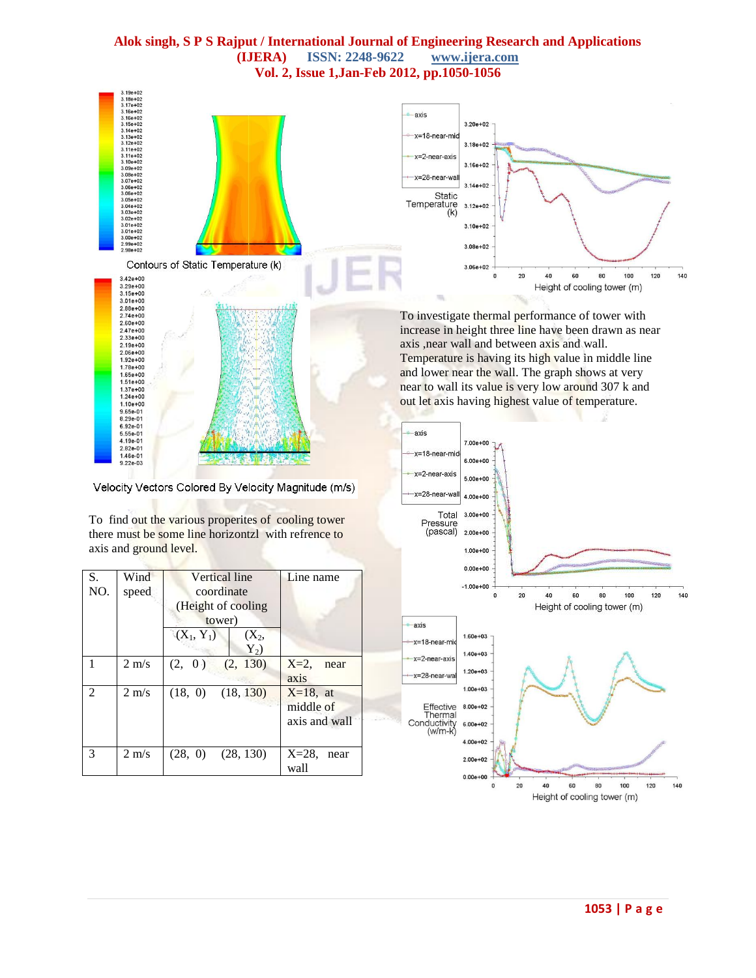

 $5.00e + 00$ 

 $4.00e + 00$ 

 $3.00e + 00$ 

 $2.00e + 00$  $1.00e + 00$  $0.00e + 00$  $-1.00 + 00$  $\mathbf{0}$ 

 $1.60e + 03$ 

 $1.40e + 03$ 

 $1.20e + 03$ 

 $1.00e + 03$ 

 $8.00e + 02$ 

 $6.00e + 02$  $4.00e + 02$  $2.00e + 02$  $0.00e + 00$  $\mathbf{0}$  20

20

40

60

Height of cooling tower (m)

40

60

Height of cooling tower (m)

60

100

120

140

 $=28$ -near-wa

Pressure<br>(pascal)

**axis** 

-x=18-near-mid

 $x=2$ -near-axi

x=28-near-wa

Effective

Thermal Conductivity<br>(w/m-k)

Total

Velocity Vectors Colored By Velocity Magnitude (m/s)

To find out the various properites of cooling tower there must be some line horizontzl with refrence to axis and ground level.

| S.<br>NO.      | Wind<br>speed   | Vertical line<br>coordinate<br>(Height of cooling<br>tower)<br>$(X_1, Y_1)$<br>$(X_2,$<br>$Y_2)$ | Line name                                 |
|----------------|-----------------|--------------------------------------------------------------------------------------------------|-------------------------------------------|
|                | $2 \text{ m/s}$ | (2, 130)<br>(2, 0)                                                                               | $X=2$ ,<br>near<br>axis                   |
| $\mathfrak{D}$ | $2 \text{ m/s}$ | $(18, 0)$ $(18, 130)$                                                                            | $X=18$ , at<br>middle of<br>axis and wall |
| 3              | $2 \text{ m/s}$ | $(28, 0)$ $(28, 130)$                                                                            | $X=28$<br>near<br>wall                    |

**1053 | P a g e**

100

120

140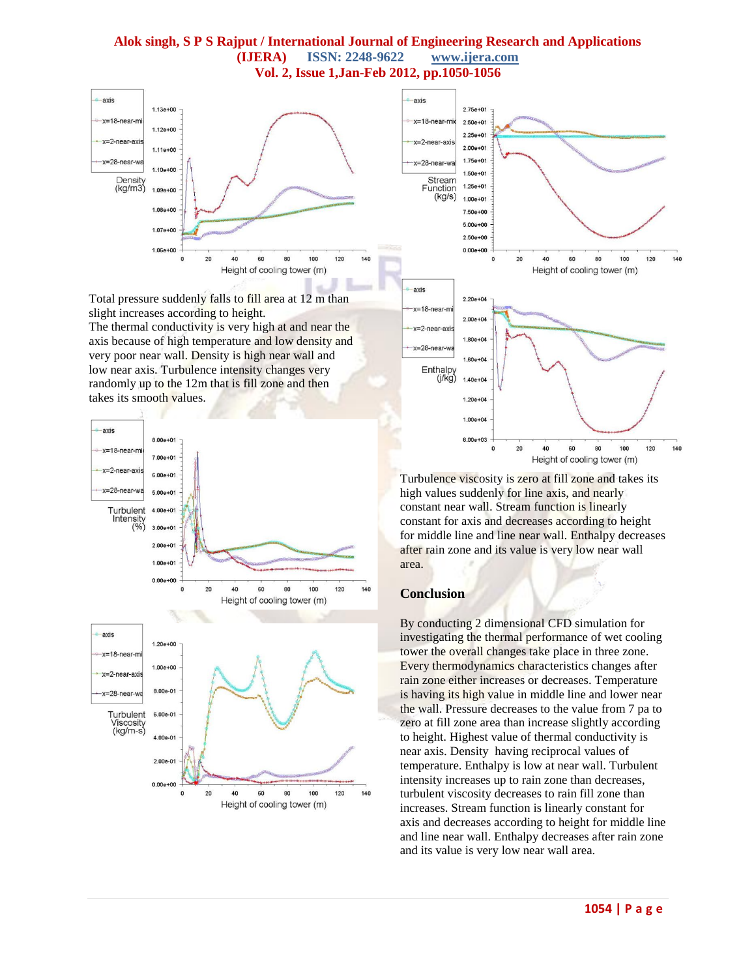

Total pressure suddenly falls to fill area at 12 m than slight increases according to height.

The thermal conductivity is very high at and near the axis because of high temperature and low density and very poor near wall. Density is high near wall and low near axis. Turbulence intensity changes very randomly up to the 12m that is fill zone and then takes its smooth values.





Turbulence viscosity is zero at fill zone and takes its high values suddenly for line axis, and nearly constant near wall. Stream function is linearly constant for axis and decreases according to height for middle line and line near wall. Enthalpy decreases after rain zone and its value is very low near wall area.

#### **Conclusion**

By conducting 2 dimensional CFD simulation for investigating the thermal performance of wet cooling tower the overall changes take place in three zone. Every thermodynamics characteristics changes after rain zone either increases or decreases. Temperature is having its high value in middle line and lower near the wall. Pressure decreases to the value from 7 pa to zero at fill zone area than increase slightly according to height. Highest value of thermal conductivity is near axis. Density having reciprocal values of temperature. Enthalpy is low at near wall. Turbulent intensity increases up to rain zone than decreases, turbulent viscosity decreases to rain fill zone than increases. Stream function is linearly constant for axis and decreases according to height for middle line and line near wall. Enthalpy decreases after rain zone and its value is very low near wall area.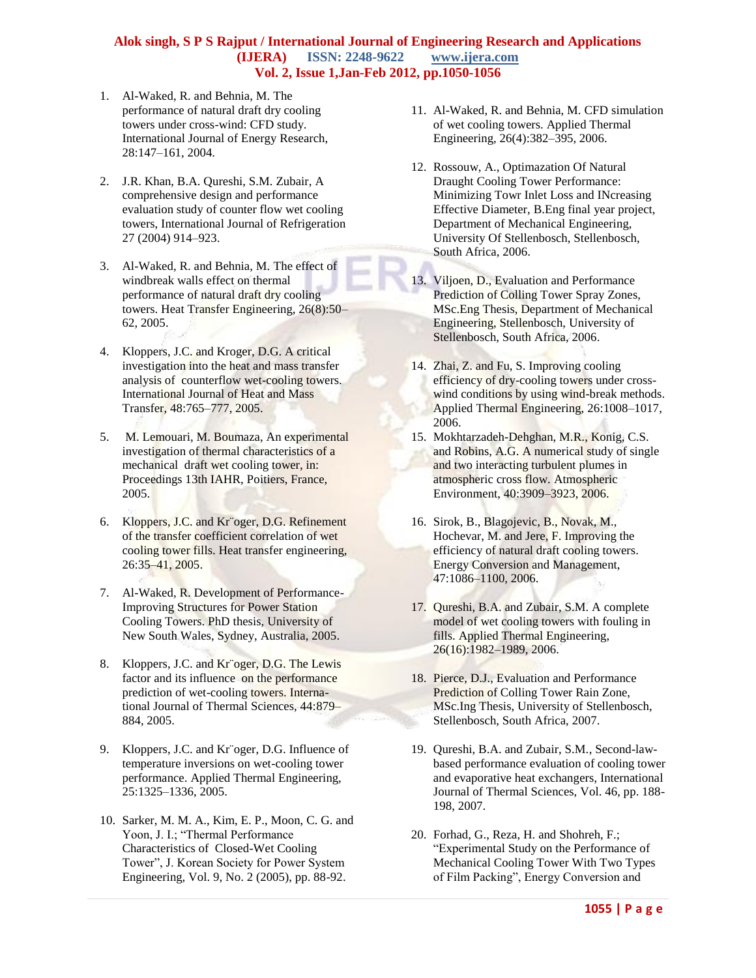- 1. Al-Waked, R. and Behnia, M. The performance of natural draft dry cooling towers under cross-wind: CFD study. International Journal of Energy Research, 28:147–161, 2004.
- 2. J.R. Khan, B.A. Qureshi, S.M. Zubair, A comprehensive design and performance evaluation study of counter flow wet cooling towers, International Journal of Refrigeration 27 (2004) 914–923.
- 3. Al-Waked, R. and Behnia, M. The effect of windbreak walls effect on thermal performance of natural draft dry cooling towers. Heat Transfer Engineering, 26(8):50– 62, 2005.
- 4. Kloppers, J.C. and Kroger, D.G. A critical investigation into the heat and mass transfer analysis of counterflow wet-cooling towers. International Journal of Heat and Mass Transfer, 48:765–777, 2005.
- 5. M. Lemouari, M. Boumaza, An experimental investigation of thermal characteristics of a mechanical draft wet cooling tower, in: Proceedings 13th IAHR, Poitiers, France, 2005.
- 6. Kloppers, J.C. and Kr¨oger, D.G. Refinement of the transfer coefficient correlation of wet cooling tower fills. Heat transfer engineering, 26:35–41, 2005.
- 7. Al-Waked, R. Development of Performance-Improving Structures for Power Station Cooling Towers. PhD thesis, University of New South Wales, Sydney, Australia, 2005.
- 8. Kloppers, J.C. and Kr<sup>ooger</sup>, D.G. The Lewis factor and its influence on the performance prediction of wet-cooling towers. International Journal of Thermal Sciences, 44:879– 884, 2005.
- 9. Kloppers, J.C. and Kr¨oger, D.G. Influence of temperature inversions on wet-cooling tower performance. Applied Thermal Engineering, 25:1325–1336, 2005.
- 10. Sarker, M. M. A., Kim, E. P., Moon, C. G. and Yoon, J. I.; "Thermal Performance Characteristics of Closed-Wet Cooling Tower", J. Korean Society for Power System Engineering, Vol. 9, No. 2 (2005), pp. 88-92.
- 11. Al-Waked, R. and Behnia, M. CFD simulation of wet cooling towers. Applied Thermal Engineering, 26(4):382–395, 2006.
- 12. Rossouw, A., Optimazation Of Natural Draught Cooling Tower Performance: Minimizing Towr Inlet Loss and INcreasing Effective Diameter, B.Eng final year project, Department of Mechanical Engineering, University Of Stellenbosch, Stellenbosch, South Africa, 2006.
- 13. Viljoen, D., Evaluation and Performance Prediction of Colling Tower Spray Zones, MSc.Eng Thesis, Department of Mechanical Engineering, Stellenbosch, University of Stellenbosch, South Africa, 2006.
- 14. Zhai, Z. and Fu, S. Improving cooling efficiency of dry-cooling towers under crosswind conditions by using wind-break methods. Applied Thermal Engineering, 26:1008–1017, 2006.
- 15. Mokhtarzadeh-Dehghan, M.R., Konig, C.S. and Robins, A.G. A numerical study of single and two interacting turbulent plumes in atmospheric cross flow. Atmospheric Environment, 40:3909–3923, 2006.
- 16. Sirok, B., Blagojevic, B., Novak, M., Hochevar, M. and Jere, F. Improving the efficiency of natural draft cooling towers. Energy Conversion and Management, 47:1086–1100, 2006.
- 17. Qureshi, B.A. and Zubair, S.M. A complete model of wet cooling towers with fouling in fills. Applied Thermal Engineering, 26(16):1982–1989, 2006.
- 18. Pierce, D.J., Evaluation and Performance Prediction of Colling Tower Rain Zone, MSc.Ing Thesis, University of Stellenbosch, Stellenbosch, South Africa, 2007.
- 19. Qureshi, B.A. and Zubair, S.M., Second-lawbased performance evaluation of cooling tower and evaporative heat exchangers, International Journal of Thermal Sciences, Vol. 46, pp. 188- 198, 2007.
- 20. Forhad, G., Reza, H. and Shohreh, F.; "Experimental Study on the Performance of Mechanical Cooling Tower With Two Types of Film Packing", Energy Conversion and